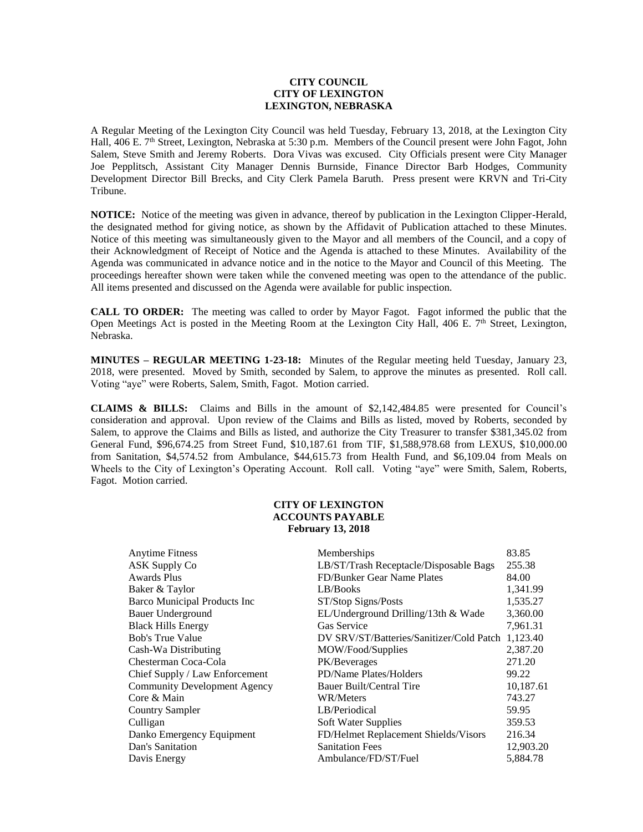## **CITY COUNCIL CITY OF LEXINGTON LEXINGTON, NEBRASKA**

A Regular Meeting of the Lexington City Council was held Tuesday, February 13, 2018, at the Lexington City Hall, 406 E. 7<sup>th</sup> Street, Lexington, Nebraska at 5:30 p.m. Members of the Council present were John Fagot, John Salem, Steve Smith and Jeremy Roberts. Dora Vivas was excused. City Officials present were City Manager Joe Pepplitsch, Assistant City Manager Dennis Burnside, Finance Director Barb Hodges, Community Development Director Bill Brecks, and City Clerk Pamela Baruth. Press present were KRVN and Tri-City Tribune.

**NOTICE:** Notice of the meeting was given in advance, thereof by publication in the Lexington Clipper-Herald, the designated method for giving notice, as shown by the Affidavit of Publication attached to these Minutes. Notice of this meeting was simultaneously given to the Mayor and all members of the Council, and a copy of their Acknowledgment of Receipt of Notice and the Agenda is attached to these Minutes. Availability of the Agenda was communicated in advance notice and in the notice to the Mayor and Council of this Meeting. The proceedings hereafter shown were taken while the convened meeting was open to the attendance of the public. All items presented and discussed on the Agenda were available for public inspection.

**CALL TO ORDER:** The meeting was called to order by Mayor Fagot. Fagot informed the public that the Open Meetings Act is posted in the Meeting Room at the Lexington City Hall, 406 E. 7<sup>th</sup> Street, Lexington, Nebraska.

**MINUTES – REGULAR MEETING 1-23-18:** Minutes of the Regular meeting held Tuesday, January 23, 2018, were presented. Moved by Smith, seconded by Salem, to approve the minutes as presented. Roll call. Voting "aye" were Roberts, Salem, Smith, Fagot. Motion carried.

**CLAIMS & BILLS:** Claims and Bills in the amount of \$2,142,484.85 were presented for Council's consideration and approval. Upon review of the Claims and Bills as listed, moved by Roberts, seconded by Salem, to approve the Claims and Bills as listed, and authorize the City Treasurer to transfer \$381,345.02 from General Fund, \$96,674.25 from Street Fund, \$10,187.61 from TIF, \$1,588,978.68 from LEXUS, \$10,000.00 from Sanitation, \$4,574.52 from Ambulance, \$44,615.73 from Health Fund, and \$6,109.04 from Meals on Wheels to the City of Lexington's Operating Account. Roll call. Voting "aye" were Smith, Salem, Roberts, Fagot. Motion carried.

## **CITY OF LEXINGTON ACCOUNTS PAYABLE February 13, 2018**

| <b>Anytime Fitness</b>              | Memberships                                       | 83.85     |
|-------------------------------------|---------------------------------------------------|-----------|
| <b>ASK Supply Co</b>                |                                                   | 255.38    |
|                                     | LB/ST/Trash Receptacle/Disposable Bags            |           |
| <b>Awards Plus</b>                  | FD/Bunker Gear Name Plates                        | 84.00     |
| Baker & Taylor                      | LB/Books                                          | 1,341.99  |
| Barco Municipal Products Inc        | ST/Stop Signs/Posts                               | 1,535.27  |
| Bauer Underground                   | EL/Underground Drilling/13th & Wade               | 3,360.00  |
| <b>Black Hills Energy</b>           | Gas Service                                       | 7,961.31  |
| <b>Bob's True Value</b>             | DV SRV/ST/Batteries/Sanitizer/Cold Patch 1,123.40 |           |
| Cash-Wa Distributing                | MOW/Food/Supplies                                 | 2,387.20  |
| Chesterman Coca-Cola                | PK/Beverages                                      | 271.20    |
| Chief Supply / Law Enforcement      | PD/Name Plates/Holders                            | 99.22     |
| <b>Community Development Agency</b> | Bauer Built/Central Tire                          | 10,187.61 |
| Core & Main                         | WR/Meters                                         | 743.27    |
| <b>Country Sampler</b>              | LB/Periodical                                     | 59.95     |
| Culligan                            | Soft Water Supplies                               | 359.53    |
| Danko Emergency Equipment           | FD/Helmet Replacement Shields/Visors              | 216.34    |
| Dan's Sanitation                    | <b>Sanitation Fees</b>                            | 12,903.20 |
| Davis Energy                        | Ambulance/FD/ST/Fuel                              | 5,884.78  |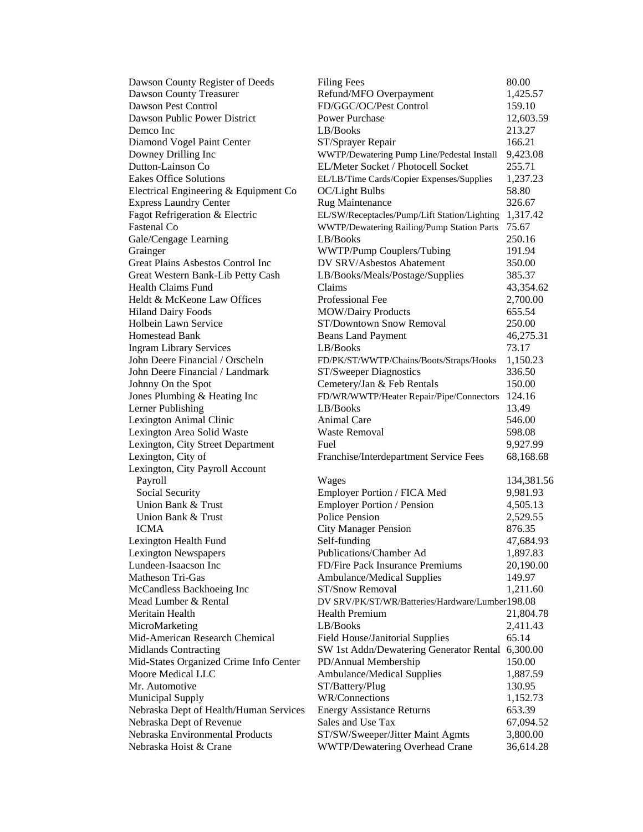| Dawson County Register of Deeds                             | <b>Filing Fees</b>                               | 80.00                 |
|-------------------------------------------------------------|--------------------------------------------------|-----------------------|
| Dawson County Treasurer                                     | Refund/MFO Overpayment                           | 1,425.57              |
| Dawson Pest Control                                         | FD/GGC/OC/Pest Control                           | 159.10                |
| Dawson Public Power District                                | <b>Power Purchase</b>                            | 12,603.59             |
| Demco Inc                                                   | LB/Books                                         | 213.27                |
| Diamond Vogel Paint Center                                  | ST/Sprayer Repair                                | 166.21                |
| Downey Drilling Inc                                         | WWTP/Dewatering Pump Line/Pedestal Install       | 9,423.08              |
| Dutton-Lainson Co                                           | EL/Meter Socket / Photocell Socket               | 255.71                |
| <b>Eakes Office Solutions</b>                               | EL/LB/Time Cards/Copier Expenses/Supplies        | 1,237.23              |
| Electrical Engineering & Equipment Co                       | OC/Light Bulbs                                   | 58.80                 |
| <b>Express Laundry Center</b>                               | Rug Maintenance                                  | 326.67                |
| Fagot Refrigeration & Electric                              | EL/SW/Receptacles/Pump/Lift Station/Lighting     | 1,317.42              |
| Fastenal Co                                                 | WWTP/Dewatering Railing/Pump Station Parts       | 75.67                 |
| Gale/Cengage Learning                                       | LB/Books                                         | 250.16                |
| Grainger                                                    | WWTP/Pump Couplers/Tubing                        | 191.94                |
| Great Plains Asbestos Control Inc                           | DV SRV/Asbestos Abatement                        | 350.00                |
| Great Western Bank-Lib Petty Cash                           | LB/Books/Meals/Postage/Supplies                  | 385.37                |
| Health Claims Fund                                          | Claims                                           | 43,354.62             |
| Heldt & McKeone Law Offices                                 | Professional Fee                                 | 2,700.00              |
| <b>Hiland Dairy Foods</b>                                   | <b>MOW/Dairy Products</b>                        | 655.54                |
| <b>Holbein Lawn Service</b>                                 | ST/Downtown Snow Removal                         | 250.00                |
| <b>Homestead Bank</b>                                       | <b>Beans Land Payment</b>                        | 46,275.31             |
| <b>Ingram Library Services</b>                              | LB/Books                                         | 73.17                 |
| John Deere Financial / Orscheln                             | FD/PK/ST/WWTP/Chains/Boots/Straps/Hooks          | 1,150.23              |
| John Deere Financial / Landmark                             | ST/Sweeper Diagnostics                           | 336.50                |
| Johnny On the Spot                                          | Cemetery/Jan & Feb Rentals                       | 150.00                |
| Jones Plumbing & Heating Inc                                | FD/WR/WWTP/Heater Repair/Pipe/Connectors         | 124.16                |
| Lerner Publishing                                           | LB/Books                                         | 13.49                 |
| Lexington Animal Clinic                                     | Animal Care                                      | 546.00                |
| Lexington Area Solid Waste                                  | <b>Waste Removal</b>                             | 598.08                |
| Lexington, City Street Department                           | Fuel                                             | 9,927.99              |
| Lexington, City of                                          | Franchise/Interdepartment Service Fees           | 68,168.68             |
| Lexington, City Payroll Account                             |                                                  |                       |
| Payroll                                                     | Wages                                            | 134,381.56            |
| Social Security                                             | Employer Portion / FICA Med                      | 9,981.93              |
| Union Bank & Trust                                          | Employer Portion / Pension                       | 4,505.13              |
| Union Bank & Trust                                          | <b>Police Pension</b>                            | 2,529.55              |
| <b>ICMA</b>                                                 | <b>City Manager Pension</b>                      | 876.35                |
| Lexington Health Fund                                       | Self-funding                                     | 47,684.93             |
| <b>Lexington Newspapers</b>                                 | Publications/Chamber Ad                          | 1,897.83              |
| Lundeen-Isaacson Inc                                        | FD/Fire Pack Insurance Premiums                  | 20,190.00             |
| Matheson Tri-Gas                                            | Ambulance/Medical Supplies                       | 149.97                |
| McCandless Backhoeing Inc                                   | ST/Snow Removal                                  | 1,211.60              |
| Mead Lumber & Rental                                        | DV SRV/PK/ST/WR/Batteries/Hardware/Lumber198.08  |                       |
| Meritain Health                                             | <b>Health Premium</b>                            | 21,804.78             |
| MicroMarketing                                              | LB/Books                                         | 2,411.43              |
| Mid-American Research Chemical                              | Field House/Janitorial Supplies                  | 65.14                 |
| <b>Midlands Contracting</b>                                 | SW 1st Addn/Dewatering Generator Rental 6,300.00 |                       |
| Mid-States Organized Crime Info Center                      | PD/Annual Membership                             | 150.00                |
| Moore Medical LLC                                           | Ambulance/Medical Supplies                       | 1,887.59              |
| Mr. Automotive                                              | ST/Battery/Plug                                  | 130.95                |
| <b>Municipal Supply</b>                                     | WR/Connections                                   | 1,152.73              |
| Nebraska Dept of Health/Human Services                      | <b>Energy Assistance Returns</b>                 | 653.39                |
|                                                             | Sales and Use Tax                                | 67,094.52             |
| Nebraska Dept of Revenue<br>Nebraska Environmental Products | ST/SW/Sweeper/Jitter Maint Agmts                 |                       |
| Nebraska Hoist & Crane                                      | WWTP/Dewatering Overhead Crane                   | 3,800.00<br>36,614.28 |
|                                                             |                                                  |                       |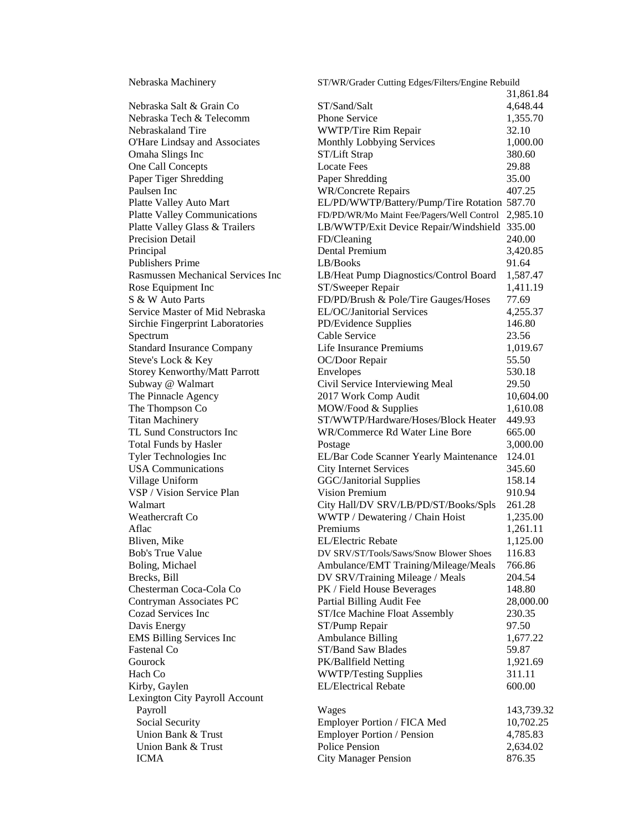| Nebraska Machinery<br>ST/WR/Grader Cutting Edges/Filters/Engine Rebuild |                                              |            |
|-------------------------------------------------------------------------|----------------------------------------------|------------|
|                                                                         |                                              | 31,861.84  |
| Nebraska Salt & Grain Co                                                | ST/Sand/Salt                                 | 4,648.44   |
| Nebraska Tech & Telecomm                                                | <b>Phone Service</b>                         | 1,355.70   |
| Nebraskaland Tire                                                       | WWTP/Tire Rim Repair                         | 32.10      |
| O'Hare Lindsay and Associates                                           | Monthly Lobbying Services                    | 1,000.00   |
| Omaha Slings Inc                                                        | ST/Lift Strap                                | 380.60     |
| One Call Concepts                                                       | <b>Locate Fees</b>                           | 29.88      |
| Paper Tiger Shredding                                                   | Paper Shredding                              | 35.00      |
| Paulsen Inc                                                             | <b>WR/Concrete Repairs</b>                   | 407.25     |
| Platte Valley Auto Mart                                                 | EL/PD/WWTP/Battery/Pump/Tire Rotation 587.70 |            |
| <b>Platte Valley Communications</b>                                     | FD/PD/WR/Mo Maint Fee/Pagers/Well Control    | 2,985.10   |
| Platte Valley Glass & Trailers                                          | LB/WWTP/Exit Device Repair/Windshield 335.00 |            |
| Precision Detail                                                        | FD/Cleaning                                  | 240.00     |
| Principal                                                               | Dental Premium                               | 3,420.85   |
| <b>Publishers Prime</b>                                                 | LB/Books                                     | 91.64      |
| Rasmussen Mechanical Services Inc                                       | LB/Heat Pump Diagnostics/Control Board       | 1,587.47   |
| Rose Equipment Inc                                                      | ST/Sweeper Repair                            | 1,411.19   |
| S & W Auto Parts                                                        | FD/PD/Brush & Pole/Tire Gauges/Hoses         | 77.69      |
| Service Master of Mid Nebraska                                          | EL/OC/Janitorial Services                    | 4,255.37   |
| Sirchie Fingerprint Laboratories                                        | PD/Evidence Supplies                         | 146.80     |
| Spectrum                                                                | Cable Service                                | 23.56      |
| <b>Standard Insurance Company</b>                                       | Life Insurance Premiums                      | 1,019.67   |
| Steve's Lock & Key                                                      | OC/Door Repair                               | 55.50      |
| Storey Kenworthy/Matt Parrott                                           | Envelopes                                    | 530.18     |
| Subway @ Walmart                                                        | Civil Service Interviewing Meal              | 29.50      |
| The Pinnacle Agency                                                     | 2017 Work Comp Audit                         | 10,604.00  |
| The Thompson Co                                                         | MOW/Food & Supplies                          | 1,610.08   |
| <b>Titan Machinery</b>                                                  | ST/WWTP/Hardware/Hoses/Block Heater          | 449.93     |
| TL Sund Constructors Inc                                                | WR/Commerce Rd Water Line Bore               | 665.00     |
| Total Funds by Hasler                                                   | Postage                                      | 3,000.00   |
| Tyler Technologies Inc                                                  | EL/Bar Code Scanner Yearly Maintenance       | 124.01     |
| <b>USA Communications</b>                                               | <b>City Internet Services</b>                | 345.60     |
| Village Uniform                                                         | <b>GGC/Janitorial Supplies</b>               | 158.14     |
| VSP / Vision Service Plan                                               | <b>Vision Premium</b>                        | 910.94     |
| Walmart                                                                 | City Hall/DV SRV/LB/PD/ST/Books/Spls         | 261.28     |
| Weathercraft Co                                                         | WWTP / Dewatering / Chain Hoist              | 1,235.00   |
| Aflac                                                                   | Premiums                                     | 1,261.11   |
| Bliven, Mike                                                            | <b>EL/Electric Rebate</b>                    | 1,125.00   |
| <b>Bob's True Value</b>                                                 | DV SRV/ST/Tools/Saws/Snow Blower Shoes       | 116.83     |
| Boling, Michael                                                         | Ambulance/EMT Training/Mileage/Meals         | 766.86     |
| Brecks, Bill                                                            | DV SRV/Training Mileage / Meals              | 204.54     |
| Chesterman Coca-Cola Co                                                 | PK / Field House Beverages                   | 148.80     |
| Contryman Associates PC                                                 | Partial Billing Audit Fee                    | 28,000.00  |
| Cozad Services Inc                                                      | ST/Ice Machine Float Assembly                | 230.35     |
| Davis Energy                                                            | ST/Pump Repair                               | 97.50      |
| <b>EMS Billing Services Inc</b>                                         | <b>Ambulance Billing</b>                     | 1,677.22   |
| Fastenal Co                                                             | ST/Band Saw Blades                           | 59.87      |
| Gourock                                                                 | PK/Ballfield Netting                         | 1,921.69   |
| Hach Co                                                                 | <b>WWTP/Testing Supplies</b>                 | 311.11     |
| Kirby, Gaylen                                                           | <b>EL/Electrical Rebate</b>                  | 600.00     |
| Lexington City Payroll Account                                          |                                              |            |
| Payroll                                                                 | Wages                                        | 143,739.32 |
| Social Security                                                         | Employer Portion / FICA Med                  | 10,702.25  |
| Union Bank & Trust                                                      | Employer Portion / Pension                   | 4,785.83   |
| Union Bank & Trust                                                      | Police Pension                               | 2,634.02   |
| <b>ICMA</b>                                                             | <b>City Manager Pension</b>                  | 876.35     |
|                                                                         |                                              |            |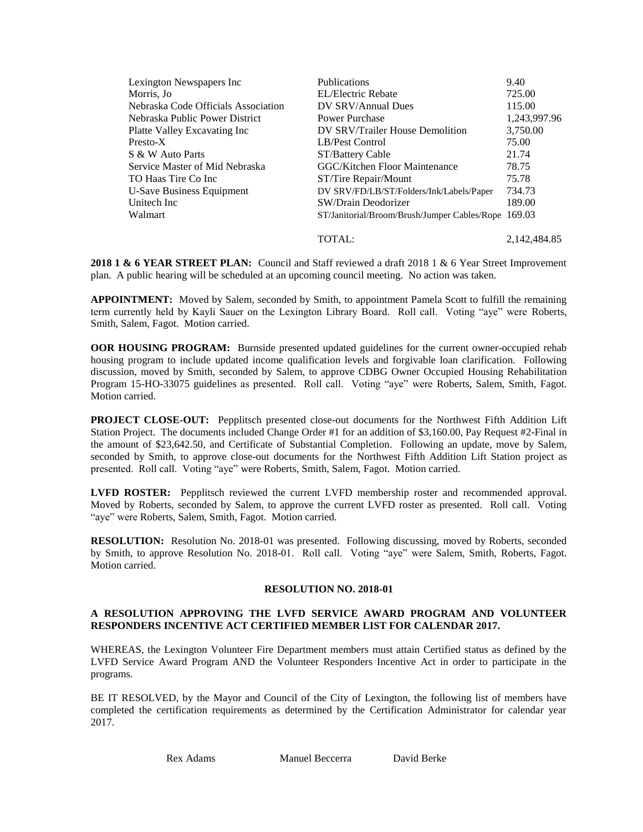| Lexington Newspapers Inc            | <b>Publications</b>                                 | 9.40         |
|-------------------------------------|-----------------------------------------------------|--------------|
| Morris, Jo                          | EL/Electric Rebate                                  | 725.00       |
| Nebraska Code Officials Association | DV SRV/Annual Dues                                  | 115.00       |
| Nebraska Public Power District      | Power Purchase                                      | 1,243,997.96 |
| Platte Valley Excavating Inc        | DV SRV/Trailer House Demolition                     | 3,750.00     |
| Presto-X                            | LB/Pest Control                                     | 75.00        |
| S & W Auto Parts                    | ST/Battery Cable                                    | 21.74        |
| Service Master of Mid Nebraska      | <b>GGC/Kitchen Floor Maintenance</b>                | 78.75        |
| TO Haas Tire Co Inc                 | ST/Tire Repair/Mount                                | 75.78        |
| <b>U-Save Business Equipment</b>    | DV SRV/FD/LB/ST/Folders/Ink/Labels/Paper            | 734.73       |
| Unitech Inc                         | SW/Drain Deodorizer                                 | 189.00       |
| Walmart                             | ST/Janitorial/Broom/Brush/Jumper Cables/Rope 169.03 |              |
|                                     | <b>TOTAL:</b>                                       | 2.142.484.85 |

**2018 1 & 6 YEAR STREET PLAN:** Council and Staff reviewed a draft 2018 1 & 6 Year Street Improvement plan. A public hearing will be scheduled at an upcoming council meeting. No action was taken.

**APPOINTMENT:** Moved by Salem, seconded by Smith, to appointment Pamela Scott to fulfill the remaining term currently held by Kayli Sauer on the Lexington Library Board. Roll call. Voting "aye" were Roberts, Smith, Salem, Fagot. Motion carried.

**OOR HOUSING PROGRAM:** Burnside presented updated guidelines for the current owner-occupied rehab housing program to include updated income qualification levels and forgivable loan clarification. Following discussion, moved by Smith, seconded by Salem, to approve CDBG Owner Occupied Housing Rehabilitation Program 15-HO-33075 guidelines as presented. Roll call. Voting "aye" were Roberts, Salem, Smith, Fagot. Motion carried.

**PROJECT CLOSE-OUT:** Pepplitsch presented close-out documents for the Northwest Fifth Addition Lift Station Project. The documents included Change Order #1 for an addition of \$3,160.00, Pay Request #2-Final in the amount of \$23,642.50, and Certificate of Substantial Completion. Following an update, move by Salem, seconded by Smith, to approve close-out documents for the Northwest Fifth Addition Lift Station project as presented. Roll call. Voting "aye" were Roberts, Smith, Salem, Fagot. Motion carried.

**LVFD ROSTER:** Pepplitsch reviewed the current LVFD membership roster and recommended approval. Moved by Roberts, seconded by Salem, to approve the current LVFD roster as presented. Roll call. Voting "aye" were Roberts, Salem, Smith, Fagot. Motion carried.

**RESOLUTION:** Resolution No. 2018-01 was presented. Following discussing, moved by Roberts, seconded by Smith, to approve Resolution No. 2018-01. Roll call. Voting "aye" were Salem, Smith, Roberts, Fagot. Motion carried.

## **RESOLUTION NO. 2018-01**

## **A RESOLUTION APPROVING THE LVFD SERVICE AWARD PROGRAM AND VOLUNTEER RESPONDERS INCENTIVE ACT CERTIFIED MEMBER LIST FOR CALENDAR 2017.**

WHEREAS, the Lexington Volunteer Fire Department members must attain Certified status as defined by the LVFD Service Award Program AND the Volunteer Responders Incentive Act in order to participate in the programs.

BE IT RESOLVED, by the Mayor and Council of the City of Lexington, the following list of members have completed the certification requirements as determined by the Certification Administrator for calendar year 2017.

Rex Adams Manuel Beccerra David Berke